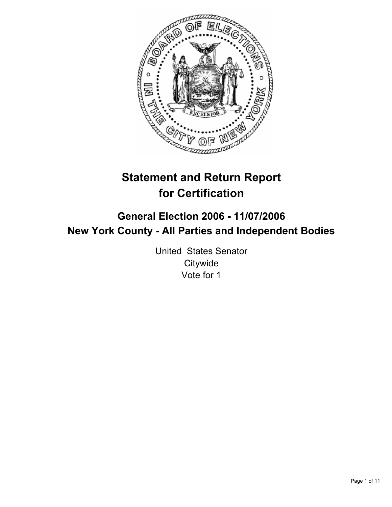

# **Statement and Return Report for Certification**

# **General Election 2006 - 11/07/2006 New York County - All Parties and Independent Bodies**

United States Senator **Citywide** Vote for 1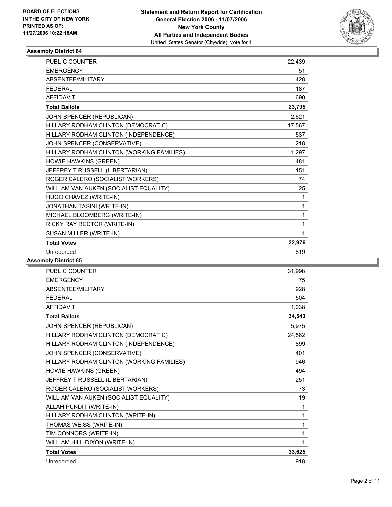

| <b>PUBLIC COUNTER</b>                     | 22,439 |
|-------------------------------------------|--------|
| <b>EMERGENCY</b>                          | 51     |
| ABSENTEE/MILITARY                         | 428    |
| <b>FFDFRAL</b>                            | 187    |
| <b>AFFIDAVIT</b>                          | 690    |
| <b>Total Ballots</b>                      | 23,795 |
| JOHN SPENCER (REPUBLICAN)                 | 2,621  |
| HILLARY RODHAM CLINTON (DEMOCRATIC)       | 17,567 |
| HILLARY RODHAM CLINTON (INDEPENDENCE)     | 537    |
| JOHN SPENCER (CONSERVATIVE)               | 218    |
| HILLARY RODHAM CLINTON (WORKING FAMILIES) | 1,297  |
| HOWIE HAWKINS (GREEN)                     | 481    |
| JEFFREY T RUSSELL (LIBERTARIAN)           | 151    |
| ROGER CALERO (SOCIALIST WORKERS)          | 74     |
| WILLIAM VAN AUKEN (SOCIALIST EQUALITY)    | 25     |
| HUGO CHAVEZ (WRITE-IN)                    | 1      |
| JONATHAN TASINI (WRITE-IN)                | 1      |
| MICHAEL BLOOMBERG (WRITE-IN)              |        |
| RICKY RAY RECTOR (WRITE-IN)               | 1      |
| SUSAN MILLER (WRITE-IN)                   |        |
| <b>Total Votes</b>                        | 22,976 |
| Unrecorded                                | 819    |

| <b>PUBLIC COUNTER</b>                     | 31,998 |
|-------------------------------------------|--------|
| <b>EMERGENCY</b>                          | 75     |
| ABSENTEE/MILITARY                         | 928    |
| <b>FFDFRAL</b>                            | 504    |
| <b>AFFIDAVIT</b>                          | 1,038  |
| <b>Total Ballots</b>                      | 34,543 |
| JOHN SPENCER (REPUBLICAN)                 | 5,975  |
| HILLARY RODHAM CLINTON (DEMOCRATIC)       | 24,562 |
| HILLARY RODHAM CLINTON (INDEPENDENCE)     | 899    |
| JOHN SPENCER (CONSERVATIVE)               | 401    |
| HILLARY RODHAM CLINTON (WORKING FAMILIES) | 946    |
| HOWIE HAWKINS (GREEN)                     | 494    |
| JEFFREY T RUSSELL (LIBERTARIAN)           | 251    |
| ROGER CALERO (SOCIALIST WORKERS)          | 73     |
| WILLIAM VAN AUKEN (SOCIALIST EQUALITY)    | 19     |
| ALLAH PUNDIT (WRITE-IN)                   | 1      |
| HILLARY RODHAM CLINTON (WRITE-IN)         | 1      |
| THOMAS WEISS (WRITE-IN)                   | 1      |
| TIM CONNORS (WRITE-IN)                    | 1      |
| WILLIAM HILL-DIXON (WRITE-IN)             | 1      |
| <b>Total Votes</b>                        | 33,625 |
| Unrecorded                                | 918    |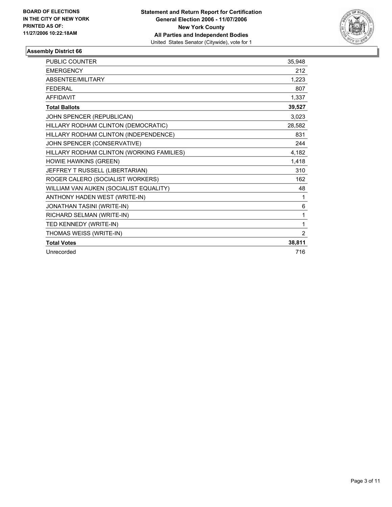

| <b>PUBLIC COUNTER</b>                     | 35,948         |
|-------------------------------------------|----------------|
| <b>EMERGENCY</b>                          | 212            |
| ABSENTEE/MILITARY                         | 1,223          |
| <b>FEDERAL</b>                            | 807            |
| <b>AFFIDAVIT</b>                          | 1,337          |
| <b>Total Ballots</b>                      | 39,527         |
| JOHN SPENCER (REPUBLICAN)                 | 3,023          |
| HILLARY RODHAM CLINTON (DEMOCRATIC)       | 28,582         |
| HILLARY RODHAM CLINTON (INDEPENDENCE)     | 831            |
| JOHN SPENCER (CONSERVATIVE)               | 244            |
| HILLARY RODHAM CLINTON (WORKING FAMILIES) | 4,182          |
| HOWIE HAWKINS (GREEN)                     | 1,418          |
| JEFFREY T RUSSELL (LIBERTARIAN)           | 310            |
| ROGER CALERO (SOCIALIST WORKERS)          | 162            |
| WILLIAM VAN AUKEN (SOCIALIST EQUALITY)    | 48             |
| ANTHONY HADEN WEST (WRITE-IN)             | 1              |
| JONATHAN TASINI (WRITE-IN)                | 6              |
| RICHARD SELMAN (WRITE-IN)                 | 1              |
| TED KENNEDY (WRITE-IN)                    | 1              |
| THOMAS WEISS (WRITE-IN)                   | $\overline{2}$ |
| <b>Total Votes</b>                        | 38,811         |
| Unrecorded                                | 716            |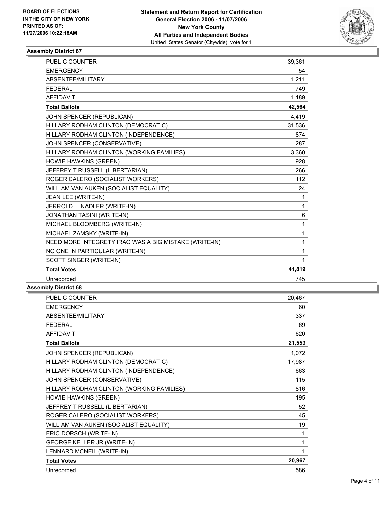

| PUBLIC COUNTER                                        | 39,361 |
|-------------------------------------------------------|--------|
| <b>EMERGENCY</b>                                      | 54     |
| ABSENTEE/MILITARY                                     | 1,211  |
| <b>FEDERAL</b>                                        | 749    |
| <b>AFFIDAVIT</b>                                      | 1,189  |
| <b>Total Ballots</b>                                  | 42,564 |
| JOHN SPENCER (REPUBLICAN)                             | 4,419  |
| HILLARY RODHAM CLINTON (DEMOCRATIC)                   | 31,536 |
| HILLARY RODHAM CLINTON (INDEPENDENCE)                 | 874    |
| JOHN SPENCER (CONSERVATIVE)                           | 287    |
| HILLARY RODHAM CLINTON (WORKING FAMILIES)             | 3.360  |
| HOWIE HAWKINS (GREEN)                                 | 928    |
| JEFFREY T RUSSELL (LIBERTARIAN)                       | 266    |
| ROGER CALERO (SOCIALIST WORKERS)                      | 112    |
| WILLIAM VAN AUKEN (SOCIALIST EQUALITY)                | 24     |
| JEAN LEE (WRITE-IN)                                   | 1      |
| JERROLD L. NADLER (WRITE-IN)                          | 1      |
| JONATHAN TASINI (WRITE-IN)                            | 6      |
| MICHAEL BLOOMBERG (WRITE-IN)                          | 1      |
| MICHAEL ZAMSKY (WRITE-IN)                             | 1      |
| NEED MORE INTEGRETY IRAQ WAS A BIG MISTAKE (WRITE-IN) | 1      |
| NO ONE IN PARTICULAR (WRITE-IN)                       | 1      |
| SCOTT SINGER (WRITE-IN)                               | 1      |
| <b>Total Votes</b>                                    | 41,819 |
| Unrecorded                                            | 745    |

| <b>PUBLIC COUNTER</b>                     | 20,467 |
|-------------------------------------------|--------|
| <b>EMERGENCY</b>                          | 60     |
| ABSENTEE/MILITARY                         | 337    |
| <b>FEDERAL</b>                            | 69     |
| <b>AFFIDAVIT</b>                          | 620    |
| <b>Total Ballots</b>                      | 21,553 |
| JOHN SPENCER (REPUBLICAN)                 | 1,072  |
| HILLARY RODHAM CLINTON (DEMOCRATIC)       | 17,987 |
| HILLARY RODHAM CLINTON (INDEPENDENCE)     | 663    |
| JOHN SPENCER (CONSERVATIVE)               | 115    |
| HILLARY RODHAM CLINTON (WORKING FAMILIES) | 816    |
| HOWIE HAWKINS (GREEN)                     | 195    |
| JEFFREY T RUSSELL (LIBERTARIAN)           | 52     |
| ROGER CALERO (SOCIALIST WORKERS)          | 45     |
| WILLIAM VAN AUKEN (SOCIALIST EQUALITY)    | 19     |
| ERIC DORSCH (WRITE-IN)                    | 1      |
| <b>GEORGE KELLER JR (WRITE-IN)</b>        | 1      |
| LENNARD MCNEIL (WRITE-IN)                 | 1      |
| <b>Total Votes</b>                        | 20,967 |
| Unrecorded                                | 586    |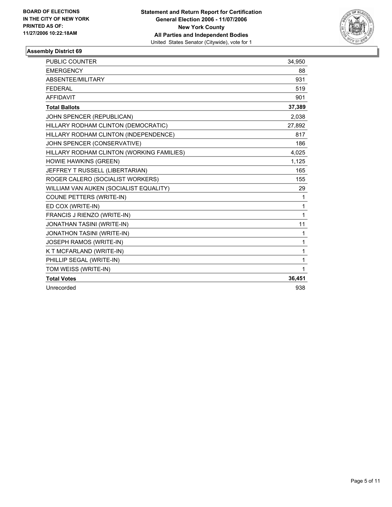

| <b>PUBLIC COUNTER</b>                     | 34,950 |
|-------------------------------------------|--------|
| <b>EMERGENCY</b>                          | 88     |
| ABSENTEE/MILITARY                         | 931    |
| <b>FEDERAL</b>                            | 519    |
| <b>AFFIDAVIT</b>                          | 901    |
| <b>Total Ballots</b>                      | 37,389 |
| JOHN SPENCER (REPUBLICAN)                 | 2,038  |
| HILLARY RODHAM CLINTON (DEMOCRATIC)       | 27,892 |
| HILLARY RODHAM CLINTON (INDEPENDENCE)     | 817    |
| JOHN SPENCER (CONSERVATIVE)               | 186    |
| HILLARY RODHAM CLINTON (WORKING FAMILIES) | 4,025  |
| HOWIE HAWKINS (GREEN)                     | 1,125  |
| JEFFREY T RUSSELL (LIBERTARIAN)           | 165    |
| ROGER CALERO (SOCIALIST WORKERS)          | 155    |
| WILLIAM VAN AUKEN (SOCIALIST EQUALITY)    | 29     |
| COUNE PETTERS (WRITE-IN)                  | 1      |
| ED COX (WRITE-IN)                         | 1      |
| FRANCIS J RIENZO (WRITE-IN)               | 1      |
| <b>JONATHAN TASINI (WRITE-IN)</b>         | 11     |
| JONATHON TASINI (WRITE-IN)                | 1      |
| JOSEPH RAMOS (WRITE-IN)                   | 1      |
| K T MCFARLAND (WRITE-IN)                  | 1      |
| PHILLIP SEGAL (WRITE-IN)                  | 1      |
| TOM WEISS (WRITE-IN)                      | 1      |
| <b>Total Votes</b>                        | 36,451 |
| Unrecorded                                | 938    |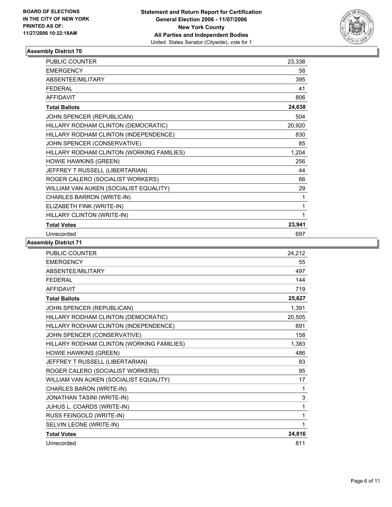

| <b>PUBLIC COUNTER</b>                     | 23,338 |
|-------------------------------------------|--------|
| <b>EMERGENCY</b>                          | 58     |
| ABSENTEE/MILITARY                         | 395    |
| <b>FEDERAL</b>                            | 41     |
| <b>AFFIDAVIT</b>                          | 806    |
| <b>Total Ballots</b>                      | 24,638 |
| JOHN SPENCER (REPUBLICAN)                 | 504    |
| HILLARY RODHAM CLINTON (DEMOCRATIC)       | 20,920 |
| HILLARY RODHAM CLINTON (INDEPENDENCE)     | 830    |
| JOHN SPENCER (CONSERVATIVE)               | 85     |
| HILLARY RODHAM CLINTON (WORKING FAMILIES) | 1,204  |
| HOWIE HAWKINS (GREEN)                     | 256    |
| JEFFREY T RUSSELL (LIBERTARIAN)           | 44     |
| ROGER CALERO (SOCIALIST WORKERS)          | 66     |
| WILLIAM VAN AUKEN (SOCIALIST EQUALITY)    | 29     |
| CHARLES BARRON (WRITE-IN)                 | 1      |
| ELIZABETH FINK (WRITE-IN)                 |        |
| HILLARY CLINTON (WRITE-IN)                |        |
| <b>Total Votes</b>                        | 23,941 |
| Unrecorded                                | 697    |

| 55<br>497<br>144<br>719<br>25,627<br>1.391<br>20,505<br>691<br>158<br>1,383<br>486<br>83<br>95<br>17<br>1<br>3<br>1<br>1<br>1 | PUBLIC COUNTER                            | 24,212 |
|-------------------------------------------------------------------------------------------------------------------------------|-------------------------------------------|--------|
|                                                                                                                               | <b>EMERGENCY</b>                          |        |
|                                                                                                                               | ABSENTEE/MILITARY                         |        |
|                                                                                                                               | <b>FEDERAL</b>                            |        |
|                                                                                                                               | <b>AFFIDAVIT</b>                          |        |
|                                                                                                                               | <b>Total Ballots</b>                      |        |
|                                                                                                                               | JOHN SPENCER (REPUBLICAN)                 |        |
|                                                                                                                               | HILLARY RODHAM CLINTON (DEMOCRATIC)       |        |
|                                                                                                                               | HILLARY RODHAM CLINTON (INDEPENDENCE)     |        |
|                                                                                                                               | JOHN SPENCER (CONSERVATIVE)               |        |
|                                                                                                                               | HILLARY RODHAM CLINTON (WORKING FAMILIES) |        |
|                                                                                                                               | HOWIE HAWKINS (GREEN)                     |        |
|                                                                                                                               | JEFFREY T RUSSELL (LIBERTARIAN)           |        |
|                                                                                                                               | ROGER CALERO (SOCIALIST WORKERS)          |        |
|                                                                                                                               | WILLIAM VAN AUKEN (SOCIALIST EQUALITY)    |        |
|                                                                                                                               | CHARLES BARON (WRITE-IN)                  |        |
|                                                                                                                               | <b>JONATHAN TASINI (WRITE-IN)</b>         |        |
|                                                                                                                               | JUHUS L. COARDS (WRITE-IN)                |        |
|                                                                                                                               | RUSS FEINGOLD (WRITE-IN)                  |        |
|                                                                                                                               | SELVIN LEONE (WRITE-IN)                   |        |
|                                                                                                                               | <b>Total Votes</b>                        | 24,816 |
| 811                                                                                                                           | Unrecorded                                |        |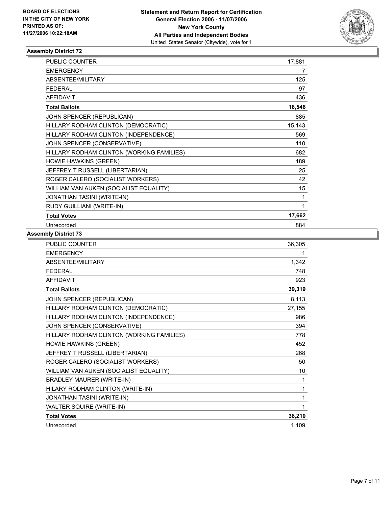

| PUBLIC COUNTER                            | 17,881 |
|-------------------------------------------|--------|
| <b>EMERGENCY</b>                          | 7      |
| ABSENTEE/MILITARY                         | 125    |
| <b>FEDERAL</b>                            | 97     |
| <b>AFFIDAVIT</b>                          | 436    |
| <b>Total Ballots</b>                      | 18,546 |
| JOHN SPENCER (REPUBLICAN)                 | 885    |
| HILLARY RODHAM CLINTON (DEMOCRATIC)       | 15,143 |
| HILLARY RODHAM CLINTON (INDEPENDENCE)     | 569    |
| JOHN SPENCER (CONSERVATIVE)               | 110    |
| HILLARY RODHAM CLINTON (WORKING FAMILIES) | 682    |
| HOWIE HAWKINS (GREEN)                     | 189    |
| JEFFREY T RUSSELL (LIBERTARIAN)           | 25     |
| ROGER CALERO (SOCIALIST WORKERS)          | 42     |
| WILLIAM VAN AUKEN (SOCIALIST EQUALITY)    | 15     |
| JONATHAN TASINI (WRITE-IN)                |        |
| RUDY GUILLIANI (WRITE-IN)                 |        |
| <b>Total Votes</b>                        | 17,662 |
| Unrecorded                                | 884    |

| PUBLIC COUNTER                            | 36,305 |
|-------------------------------------------|--------|
| <b>EMERGENCY</b>                          |        |
| ABSENTEE/MILITARY                         | 1,342  |
| <b>FEDERAL</b>                            | 748    |
| <b>AFFIDAVIT</b>                          | 923    |
| <b>Total Ballots</b>                      | 39,319 |
| JOHN SPENCER (REPUBLICAN)                 | 8,113  |
| HILLARY RODHAM CLINTON (DEMOCRATIC)       | 27,155 |
| HILLARY RODHAM CLINTON (INDEPENDENCE)     | 986    |
| JOHN SPENCER (CONSERVATIVE)               | 394    |
| HILLARY RODHAM CLINTON (WORKING FAMILIES) | 778    |
| HOWIE HAWKINS (GREEN)                     | 452    |
| JEFFREY T RUSSELL (LIBERTARIAN)           | 268    |
| ROGER CALERO (SOCIALIST WORKERS)          | 50     |
| WILLIAM VAN AUKEN (SOCIALIST EQUALITY)    | 10     |
| <b>BRADLEY MAURER (WRITE-IN)</b>          | 1      |
| HILARY RODHAM CLINTON (WRITE-IN)          |        |
| JONATHAN TASINI (WRITE-IN)                |        |
| WALTER SQUIRE (WRITE-IN)                  |        |
| <b>Total Votes</b>                        | 38,210 |
| Unrecorded                                | 1,109  |
|                                           |        |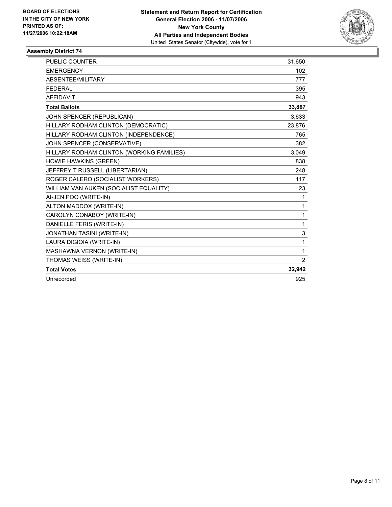

| <b>PUBLIC COUNTER</b>                     | 31.650         |
|-------------------------------------------|----------------|
| <b>EMERGENCY</b>                          | 102            |
| ABSENTEE/MILITARY                         | 777            |
| <b>FEDERAL</b>                            | 395            |
| <b>AFFIDAVIT</b>                          | 943            |
| <b>Total Ballots</b>                      | 33,867         |
| JOHN SPENCER (REPUBLICAN)                 | 3,633          |
| HILLARY RODHAM CLINTON (DEMOCRATIC)       | 23,876         |
| HILLARY RODHAM CLINTON (INDEPENDENCE)     | 765            |
| JOHN SPENCER (CONSERVATIVE)               | 382            |
| HILLARY RODHAM CLINTON (WORKING FAMILIES) | 3.049          |
| HOWIE HAWKINS (GREEN)                     | 838            |
| JEFFREY T RUSSELL (LIBERTARIAN)           | 248            |
| ROGER CALERO (SOCIALIST WORKERS)          | 117            |
| WILLIAM VAN AUKEN (SOCIALIST EQUALITY)    | 23             |
| AI-JEN POO (WRITE-IN)                     | 1              |
| ALTON MADDOX (WRITE-IN)                   | 1              |
| CAROLYN CONABOY (WRITE-IN)                | 1              |
| DANIELLE FERIS (WRITE-IN)                 | 1              |
| JONATHAN TASINI (WRITE-IN)                | 3              |
| LAURA DIGIOIA (WRITE-IN)                  | 1              |
| MASHAWNA VERNON (WRITE-IN)                | 1              |
| THOMAS WEISS (WRITE-IN)                   | $\overline{2}$ |
| <b>Total Votes</b>                        | 32,942         |
| Unrecorded                                | 925            |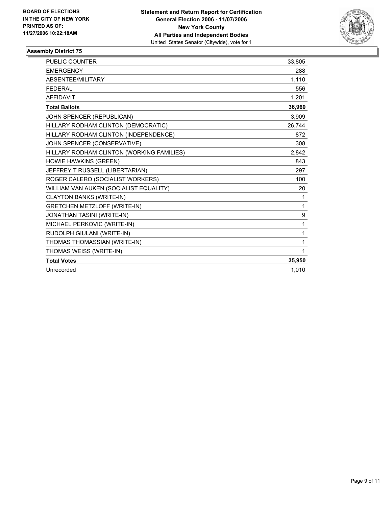

| <b>PUBLIC COUNTER</b>                     | 33,805 |
|-------------------------------------------|--------|
| <b>EMERGENCY</b>                          | 288    |
| ABSENTEE/MILITARY                         | 1,110  |
| <b>FEDERAL</b>                            | 556    |
| <b>AFFIDAVIT</b>                          | 1,201  |
| <b>Total Ballots</b>                      | 36,960 |
| JOHN SPENCER (REPUBLICAN)                 | 3,909  |
| HILLARY RODHAM CLINTON (DEMOCRATIC)       | 26,744 |
| HILLARY RODHAM CLINTON (INDEPENDENCE)     | 872    |
| JOHN SPENCER (CONSERVATIVE)               | 308    |
| HILLARY RODHAM CLINTON (WORKING FAMILIES) | 2,842  |
| <b>HOWIE HAWKINS (GREEN)</b>              | 843    |
| JEFFREY T RUSSELL (LIBERTARIAN)           | 297    |
| ROGER CALERO (SOCIALIST WORKERS)          | 100    |
| WILLIAM VAN AUKEN (SOCIALIST EQUALITY)    | 20     |
| <b>CLAYTON BANKS (WRITE-IN)</b>           | 1      |
| <b>GRETCHEN METZLOFF (WRITE-IN)</b>       | 1      |
| <b>JONATHAN TASINI (WRITE-IN)</b>         | 9      |
| MICHAEL PERKOVIC (WRITE-IN)               | 1      |
| RUDOLPH GIULANI (WRITE-IN)                | 1      |
| THOMAS THOMASSIAN (WRITE-IN)              | 1      |
| THOMAS WEISS (WRITE-IN)                   | 1      |
| <b>Total Votes</b>                        | 35,950 |
| Unrecorded                                | 1,010  |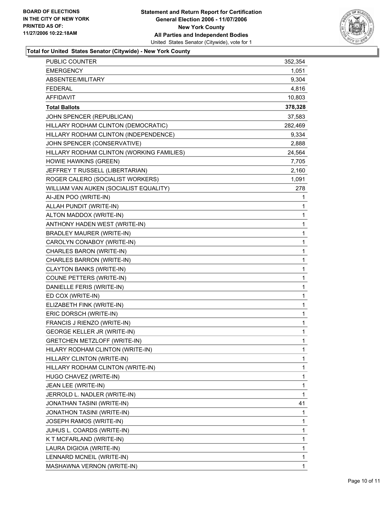

## **Total for United States Senator (Citywide) - New York County**

| <b>EMERGENCY</b><br>1,051<br>9,304<br>ABSENTEE/MILITARY<br><b>FEDERAL</b><br>4,816<br><b>AFFIDAVIT</b><br>10,803<br>378,328<br><b>Total Ballots</b><br>JOHN SPENCER (REPUBLICAN)<br>37,583<br>HILLARY RODHAM CLINTON (DEMOCRATIC)<br>282,469<br>HILLARY RODHAM CLINTON (INDEPENDENCE)<br>9,334<br>JOHN SPENCER (CONSERVATIVE)<br>2,888<br>HILLARY RODHAM CLINTON (WORKING FAMILIES)<br>24,564<br>HOWIE HAWKINS (GREEN)<br>7,705<br>JEFFREY T RUSSELL (LIBERTARIAN)<br>2,160<br>ROGER CALERO (SOCIALIST WORKERS)<br>1,091<br>WILLIAM VAN AUKEN (SOCIALIST EQUALITY)<br>278<br>AI-JEN POO (WRITE-IN)<br>1<br>ALLAH PUNDIT (WRITE-IN)<br>1<br>ALTON MADDOX (WRITE-IN)<br>1<br>ANTHONY HADEN WEST (WRITE-IN)<br>1<br><b>BRADLEY MAURER (WRITE-IN)</b><br>1<br>CAROLYN CONABOY (WRITE-IN)<br>1<br>CHARLES BARON (WRITE-IN)<br>1<br>CHARLES BARRON (WRITE-IN)<br>1<br><b>CLAYTON BANKS (WRITE-IN)</b><br>1<br>COUNE PETTERS (WRITE-IN)<br>1<br>DANIELLE FERIS (WRITE-IN)<br>1<br>ED COX (WRITE-IN)<br>1<br>ELIZABETH FINK (WRITE-IN)<br>1<br>ERIC DORSCH (WRITE-IN)<br>1<br>1<br>FRANCIS J RIENZO (WRITE-IN)<br><b>GEORGE KELLER JR (WRITE-IN)</b><br>1<br><b>GRETCHEN METZLOFF (WRITE-IN)</b><br>1<br>HILARY RODHAM CLINTON (WRITE-IN)<br>1<br>HILLARY CLINTON (WRITE-IN)<br>1<br>HILLARY RODHAM CLINTON (WRITE-IN)<br>1<br>1<br>HUGO CHAVEZ (WRITE-IN)<br>JEAN LEE (WRITE-IN)<br>1<br>1<br>JERROLD L. NADLER (WRITE-IN)<br>41<br>JONATHAN TASINI (WRITE-IN)<br>JONATHON TASINI (WRITE-IN)<br>1<br>1<br>JOSEPH RAMOS (WRITE-IN)<br>1<br>JUHUS L. COARDS (WRITE-IN)<br>1<br>K T MCFARLAND (WRITE-IN)<br>1<br>LAURA DIGIOIA (WRITE-IN)<br>1<br>LENNARD MCNEIL (WRITE-IN) | <b>PUBLIC COUNTER</b>      | 352,354 |
|-------------------------------------------------------------------------------------------------------------------------------------------------------------------------------------------------------------------------------------------------------------------------------------------------------------------------------------------------------------------------------------------------------------------------------------------------------------------------------------------------------------------------------------------------------------------------------------------------------------------------------------------------------------------------------------------------------------------------------------------------------------------------------------------------------------------------------------------------------------------------------------------------------------------------------------------------------------------------------------------------------------------------------------------------------------------------------------------------------------------------------------------------------------------------------------------------------------------------------------------------------------------------------------------------------------------------------------------------------------------------------------------------------------------------------------------------------------------------------------------------------------------------------------------------------------------------------------------------------------------------------------------------------------------|----------------------------|---------|
|                                                                                                                                                                                                                                                                                                                                                                                                                                                                                                                                                                                                                                                                                                                                                                                                                                                                                                                                                                                                                                                                                                                                                                                                                                                                                                                                                                                                                                                                                                                                                                                                                                                                   |                            |         |
|                                                                                                                                                                                                                                                                                                                                                                                                                                                                                                                                                                                                                                                                                                                                                                                                                                                                                                                                                                                                                                                                                                                                                                                                                                                                                                                                                                                                                                                                                                                                                                                                                                                                   |                            |         |
|                                                                                                                                                                                                                                                                                                                                                                                                                                                                                                                                                                                                                                                                                                                                                                                                                                                                                                                                                                                                                                                                                                                                                                                                                                                                                                                                                                                                                                                                                                                                                                                                                                                                   |                            |         |
|                                                                                                                                                                                                                                                                                                                                                                                                                                                                                                                                                                                                                                                                                                                                                                                                                                                                                                                                                                                                                                                                                                                                                                                                                                                                                                                                                                                                                                                                                                                                                                                                                                                                   |                            |         |
|                                                                                                                                                                                                                                                                                                                                                                                                                                                                                                                                                                                                                                                                                                                                                                                                                                                                                                                                                                                                                                                                                                                                                                                                                                                                                                                                                                                                                                                                                                                                                                                                                                                                   |                            |         |
|                                                                                                                                                                                                                                                                                                                                                                                                                                                                                                                                                                                                                                                                                                                                                                                                                                                                                                                                                                                                                                                                                                                                                                                                                                                                                                                                                                                                                                                                                                                                                                                                                                                                   |                            |         |
|                                                                                                                                                                                                                                                                                                                                                                                                                                                                                                                                                                                                                                                                                                                                                                                                                                                                                                                                                                                                                                                                                                                                                                                                                                                                                                                                                                                                                                                                                                                                                                                                                                                                   |                            |         |
|                                                                                                                                                                                                                                                                                                                                                                                                                                                                                                                                                                                                                                                                                                                                                                                                                                                                                                                                                                                                                                                                                                                                                                                                                                                                                                                                                                                                                                                                                                                                                                                                                                                                   |                            |         |
|                                                                                                                                                                                                                                                                                                                                                                                                                                                                                                                                                                                                                                                                                                                                                                                                                                                                                                                                                                                                                                                                                                                                                                                                                                                                                                                                                                                                                                                                                                                                                                                                                                                                   |                            |         |
|                                                                                                                                                                                                                                                                                                                                                                                                                                                                                                                                                                                                                                                                                                                                                                                                                                                                                                                                                                                                                                                                                                                                                                                                                                                                                                                                                                                                                                                                                                                                                                                                                                                                   |                            |         |
|                                                                                                                                                                                                                                                                                                                                                                                                                                                                                                                                                                                                                                                                                                                                                                                                                                                                                                                                                                                                                                                                                                                                                                                                                                                                                                                                                                                                                                                                                                                                                                                                                                                                   |                            |         |
|                                                                                                                                                                                                                                                                                                                                                                                                                                                                                                                                                                                                                                                                                                                                                                                                                                                                                                                                                                                                                                                                                                                                                                                                                                                                                                                                                                                                                                                                                                                                                                                                                                                                   |                            |         |
|                                                                                                                                                                                                                                                                                                                                                                                                                                                                                                                                                                                                                                                                                                                                                                                                                                                                                                                                                                                                                                                                                                                                                                                                                                                                                                                                                                                                                                                                                                                                                                                                                                                                   |                            |         |
|                                                                                                                                                                                                                                                                                                                                                                                                                                                                                                                                                                                                                                                                                                                                                                                                                                                                                                                                                                                                                                                                                                                                                                                                                                                                                                                                                                                                                                                                                                                                                                                                                                                                   |                            |         |
|                                                                                                                                                                                                                                                                                                                                                                                                                                                                                                                                                                                                                                                                                                                                                                                                                                                                                                                                                                                                                                                                                                                                                                                                                                                                                                                                                                                                                                                                                                                                                                                                                                                                   |                            |         |
|                                                                                                                                                                                                                                                                                                                                                                                                                                                                                                                                                                                                                                                                                                                                                                                                                                                                                                                                                                                                                                                                                                                                                                                                                                                                                                                                                                                                                                                                                                                                                                                                                                                                   |                            |         |
|                                                                                                                                                                                                                                                                                                                                                                                                                                                                                                                                                                                                                                                                                                                                                                                                                                                                                                                                                                                                                                                                                                                                                                                                                                                                                                                                                                                                                                                                                                                                                                                                                                                                   |                            |         |
|                                                                                                                                                                                                                                                                                                                                                                                                                                                                                                                                                                                                                                                                                                                                                                                                                                                                                                                                                                                                                                                                                                                                                                                                                                                                                                                                                                                                                                                                                                                                                                                                                                                                   |                            |         |
|                                                                                                                                                                                                                                                                                                                                                                                                                                                                                                                                                                                                                                                                                                                                                                                                                                                                                                                                                                                                                                                                                                                                                                                                                                                                                                                                                                                                                                                                                                                                                                                                                                                                   |                            |         |
|                                                                                                                                                                                                                                                                                                                                                                                                                                                                                                                                                                                                                                                                                                                                                                                                                                                                                                                                                                                                                                                                                                                                                                                                                                                                                                                                                                                                                                                                                                                                                                                                                                                                   |                            |         |
|                                                                                                                                                                                                                                                                                                                                                                                                                                                                                                                                                                                                                                                                                                                                                                                                                                                                                                                                                                                                                                                                                                                                                                                                                                                                                                                                                                                                                                                                                                                                                                                                                                                                   |                            |         |
|                                                                                                                                                                                                                                                                                                                                                                                                                                                                                                                                                                                                                                                                                                                                                                                                                                                                                                                                                                                                                                                                                                                                                                                                                                                                                                                                                                                                                                                                                                                                                                                                                                                                   |                            |         |
|                                                                                                                                                                                                                                                                                                                                                                                                                                                                                                                                                                                                                                                                                                                                                                                                                                                                                                                                                                                                                                                                                                                                                                                                                                                                                                                                                                                                                                                                                                                                                                                                                                                                   |                            |         |
|                                                                                                                                                                                                                                                                                                                                                                                                                                                                                                                                                                                                                                                                                                                                                                                                                                                                                                                                                                                                                                                                                                                                                                                                                                                                                                                                                                                                                                                                                                                                                                                                                                                                   |                            |         |
|                                                                                                                                                                                                                                                                                                                                                                                                                                                                                                                                                                                                                                                                                                                                                                                                                                                                                                                                                                                                                                                                                                                                                                                                                                                                                                                                                                                                                                                                                                                                                                                                                                                                   |                            |         |
|                                                                                                                                                                                                                                                                                                                                                                                                                                                                                                                                                                                                                                                                                                                                                                                                                                                                                                                                                                                                                                                                                                                                                                                                                                                                                                                                                                                                                                                                                                                                                                                                                                                                   |                            |         |
|                                                                                                                                                                                                                                                                                                                                                                                                                                                                                                                                                                                                                                                                                                                                                                                                                                                                                                                                                                                                                                                                                                                                                                                                                                                                                                                                                                                                                                                                                                                                                                                                                                                                   |                            |         |
|                                                                                                                                                                                                                                                                                                                                                                                                                                                                                                                                                                                                                                                                                                                                                                                                                                                                                                                                                                                                                                                                                                                                                                                                                                                                                                                                                                                                                                                                                                                                                                                                                                                                   |                            |         |
|                                                                                                                                                                                                                                                                                                                                                                                                                                                                                                                                                                                                                                                                                                                                                                                                                                                                                                                                                                                                                                                                                                                                                                                                                                                                                                                                                                                                                                                                                                                                                                                                                                                                   |                            |         |
|                                                                                                                                                                                                                                                                                                                                                                                                                                                                                                                                                                                                                                                                                                                                                                                                                                                                                                                                                                                                                                                                                                                                                                                                                                                                                                                                                                                                                                                                                                                                                                                                                                                                   |                            |         |
|                                                                                                                                                                                                                                                                                                                                                                                                                                                                                                                                                                                                                                                                                                                                                                                                                                                                                                                                                                                                                                                                                                                                                                                                                                                                                                                                                                                                                                                                                                                                                                                                                                                                   |                            |         |
|                                                                                                                                                                                                                                                                                                                                                                                                                                                                                                                                                                                                                                                                                                                                                                                                                                                                                                                                                                                                                                                                                                                                                                                                                                                                                                                                                                                                                                                                                                                                                                                                                                                                   |                            |         |
|                                                                                                                                                                                                                                                                                                                                                                                                                                                                                                                                                                                                                                                                                                                                                                                                                                                                                                                                                                                                                                                                                                                                                                                                                                                                                                                                                                                                                                                                                                                                                                                                                                                                   |                            |         |
|                                                                                                                                                                                                                                                                                                                                                                                                                                                                                                                                                                                                                                                                                                                                                                                                                                                                                                                                                                                                                                                                                                                                                                                                                                                                                                                                                                                                                                                                                                                                                                                                                                                                   |                            |         |
|                                                                                                                                                                                                                                                                                                                                                                                                                                                                                                                                                                                                                                                                                                                                                                                                                                                                                                                                                                                                                                                                                                                                                                                                                                                                                                                                                                                                                                                                                                                                                                                                                                                                   |                            |         |
|                                                                                                                                                                                                                                                                                                                                                                                                                                                                                                                                                                                                                                                                                                                                                                                                                                                                                                                                                                                                                                                                                                                                                                                                                                                                                                                                                                                                                                                                                                                                                                                                                                                                   |                            |         |
|                                                                                                                                                                                                                                                                                                                                                                                                                                                                                                                                                                                                                                                                                                                                                                                                                                                                                                                                                                                                                                                                                                                                                                                                                                                                                                                                                                                                                                                                                                                                                                                                                                                                   |                            |         |
|                                                                                                                                                                                                                                                                                                                                                                                                                                                                                                                                                                                                                                                                                                                                                                                                                                                                                                                                                                                                                                                                                                                                                                                                                                                                                                                                                                                                                                                                                                                                                                                                                                                                   |                            |         |
|                                                                                                                                                                                                                                                                                                                                                                                                                                                                                                                                                                                                                                                                                                                                                                                                                                                                                                                                                                                                                                                                                                                                                                                                                                                                                                                                                                                                                                                                                                                                                                                                                                                                   |                            |         |
|                                                                                                                                                                                                                                                                                                                                                                                                                                                                                                                                                                                                                                                                                                                                                                                                                                                                                                                                                                                                                                                                                                                                                                                                                                                                                                                                                                                                                                                                                                                                                                                                                                                                   |                            |         |
|                                                                                                                                                                                                                                                                                                                                                                                                                                                                                                                                                                                                                                                                                                                                                                                                                                                                                                                                                                                                                                                                                                                                                                                                                                                                                                                                                                                                                                                                                                                                                                                                                                                                   |                            |         |
|                                                                                                                                                                                                                                                                                                                                                                                                                                                                                                                                                                                                                                                                                                                                                                                                                                                                                                                                                                                                                                                                                                                                                                                                                                                                                                                                                                                                                                                                                                                                                                                                                                                                   |                            |         |
|                                                                                                                                                                                                                                                                                                                                                                                                                                                                                                                                                                                                                                                                                                                                                                                                                                                                                                                                                                                                                                                                                                                                                                                                                                                                                                                                                                                                                                                                                                                                                                                                                                                                   |                            |         |
|                                                                                                                                                                                                                                                                                                                                                                                                                                                                                                                                                                                                                                                                                                                                                                                                                                                                                                                                                                                                                                                                                                                                                                                                                                                                                                                                                                                                                                                                                                                                                                                                                                                                   |                            |         |
|                                                                                                                                                                                                                                                                                                                                                                                                                                                                                                                                                                                                                                                                                                                                                                                                                                                                                                                                                                                                                                                                                                                                                                                                                                                                                                                                                                                                                                                                                                                                                                                                                                                                   | MASHAWNA VERNON (WRITE-IN) | 1       |